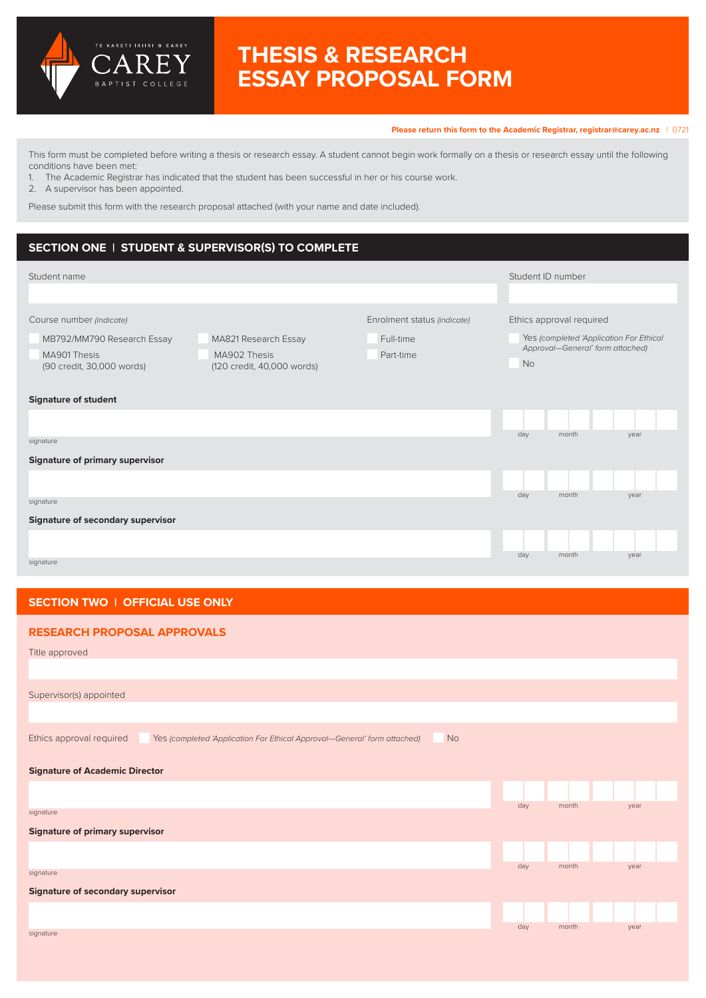

# **THESIS & RESEARCH ESSAY PROPOSAL FORM**

#### **Please return this form to the Academic Registrar, [registrar@carey.ac.nz](mailto:registrar%40carey.ac.nz%20?subject=)** | 0721

This form must be completed before writing a thesis or research essay. A student cannot begin work formally on a thesis or research essay until the following conditions have been met:

1. The Academic Registrar has indicated that the student has been successful in her or his course work.

2. A supervisor has been appointed.

Please submit this form with the research proposal attached (with your name and date included).

# **SECTION ONE | STUDENT & SUPERVISOR(S) TO COMPLETE**

| Student name                                                                                        |                                                                          |                                                       | Student ID number |                                                                                                         |      |  |
|-----------------------------------------------------------------------------------------------------|--------------------------------------------------------------------------|-------------------------------------------------------|-------------------|---------------------------------------------------------------------------------------------------------|------|--|
|                                                                                                     |                                                                          |                                                       |                   |                                                                                                         |      |  |
| Course number (indicate)<br>MB792/MM790 Research Essay<br>MA901 Thesis<br>(90 credit, 30,000 words) | MA821 Research Essay<br>MA902 Thesis<br>(120 credit, 40,000 words)       | Enrolment status (indicate)<br>Full-time<br>Part-time | <b>No</b>         | Ethics approval required<br>Yes (completed 'Application For Ethical<br>Approval-General' form attached) |      |  |
| <b>Signature of student</b>                                                                         |                                                                          |                                                       |                   |                                                                                                         |      |  |
|                                                                                                     |                                                                          |                                                       |                   |                                                                                                         |      |  |
| signature                                                                                           |                                                                          |                                                       | day               | month                                                                                                   | year |  |
| <b>Signature of primary supervisor</b>                                                              |                                                                          |                                                       |                   |                                                                                                         |      |  |
|                                                                                                     |                                                                          |                                                       |                   |                                                                                                         |      |  |
| signature                                                                                           |                                                                          |                                                       | day               | month                                                                                                   | year |  |
| Signature of secondary supervisor                                                                   |                                                                          |                                                       |                   |                                                                                                         |      |  |
|                                                                                                     |                                                                          |                                                       |                   |                                                                                                         |      |  |
| signature                                                                                           |                                                                          |                                                       | day               | month                                                                                                   | year |  |
|                                                                                                     |                                                                          |                                                       |                   |                                                                                                         |      |  |
|                                                                                                     |                                                                          |                                                       |                   |                                                                                                         |      |  |
| SECTION TWO   OFFICIAL USE ONLY                                                                     |                                                                          |                                                       |                   |                                                                                                         |      |  |
|                                                                                                     |                                                                          |                                                       |                   |                                                                                                         |      |  |
| <b>RESEARCH PROPOSAL APPROVALS</b>                                                                  |                                                                          |                                                       |                   |                                                                                                         |      |  |
| Title approved                                                                                      |                                                                          |                                                       |                   |                                                                                                         |      |  |
|                                                                                                     |                                                                          |                                                       |                   |                                                                                                         |      |  |
| Supervisor(s) appointed                                                                             |                                                                          |                                                       |                   |                                                                                                         |      |  |
|                                                                                                     |                                                                          |                                                       |                   |                                                                                                         |      |  |
| Ethics approval required                                                                            | Yes (completed 'Application For Ethical Approval-General' form attached) | <b>No</b>                                             |                   |                                                                                                         |      |  |
| <b>Signature of Academic Director</b>                                                               |                                                                          |                                                       |                   |                                                                                                         |      |  |
|                                                                                                     |                                                                          |                                                       |                   |                                                                                                         |      |  |
| signature                                                                                           |                                                                          |                                                       | day               | month                                                                                                   | year |  |
| <b>Signature of primary supervisor</b>                                                              |                                                                          |                                                       |                   |                                                                                                         |      |  |
|                                                                                                     |                                                                          |                                                       |                   |                                                                                                         |      |  |
| signature                                                                                           |                                                                          |                                                       | day               | month                                                                                                   | year |  |
| <b>Signature of secondary supervisor</b>                                                            |                                                                          |                                                       |                   |                                                                                                         |      |  |
|                                                                                                     |                                                                          |                                                       |                   |                                                                                                         |      |  |